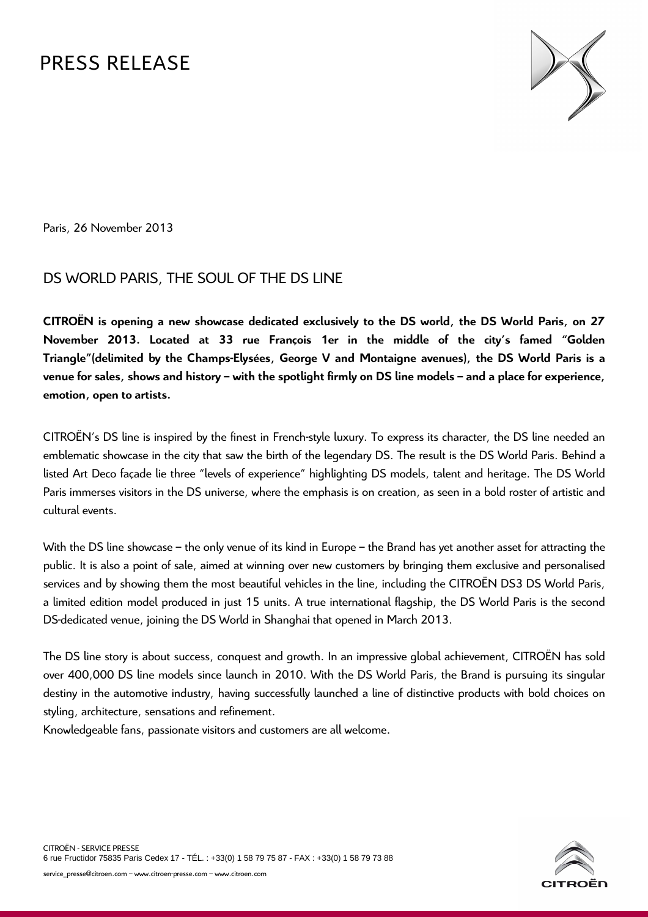# PRESS RELEASE



Paris, 26 November 2013

# DS WORLD PARIS, THE SOUL OF THE DS LINE

**CITROËN is opening a new showcase dedicated exclusively to the DS world, the DS World Paris, on 27 November 2013. Located at 33 rue François 1er in the middle of the city's famed "Golden Triangle"(delimited by the Champs-Elysées, George V and Montaigne avenues), the DS World Paris is a venue for sales, shows and history – with the spotlight firmly on DS line models – and a place for experience, emotion, open to artists.** 

CITROËN's DS line is inspired by the finest in French-style luxury. To express its character, the DS line needed an emblematic showcase in the city that saw the birth of the legendary DS. The result is the DS World Paris. Behind a listed Art Deco façade lie three "levels of experience" highlighting DS models, talent and heritage. The DS World Paris immerses visitors in the DS universe, where the emphasis is on creation, as seen in a bold roster of artistic and cultural events.

With the DS line showcase – the only venue of its kind in Europe – the Brand has yet another asset for attracting the public. It is also a point of sale, aimed at winning over new customers by bringing them exclusive and personalised services and by showing them the most beautiful vehicles in the line, including the CITROËN DS3 DS World Paris, a limited edition model produced in just 15 units. A true international flagship, the DS World Paris is the second DS-dedicated venue, joining the DS World in Shanghai that opened in March 2013.

The DS line story is about success, conquest and growth. In an impressive global achievement, CITROËN has sold over 400,000 DS line models since launch in 2010. With the DS World Paris, the Brand is pursuing its singular destiny in the automotive industry, having successfully launched a line of distinctive products with bold choices on styling, architecture, sensations and refinement.

Knowledgeable fans, passionate visitors and customers are all welcome.

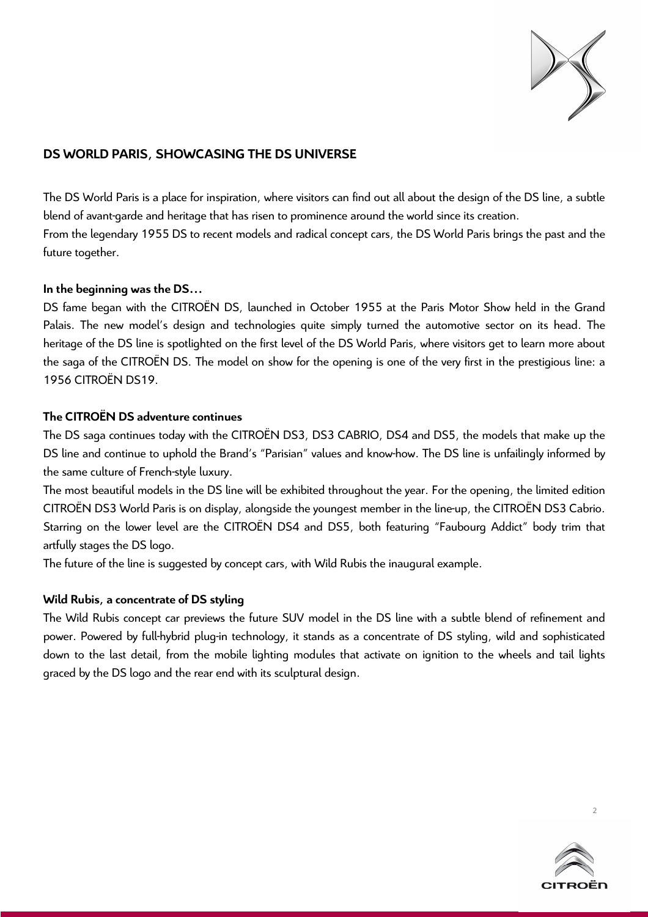

# **DS WORLD PARIS, SHOWCASING THE DS UNIVERSE**

The DS World Paris is a place for inspiration, where visitors can find out all about the design of the DS line, a subtle blend of avant-garde and heritage that has risen to prominence around the world since its creation. From the legendary 1955 DS to recent models and radical concept cars, the DS World Paris brings the past and the future together.

## **In the beginning was the DS…**

DS fame began with the CITROËN DS, launched in October 1955 at the Paris Motor Show held in the Grand Palais. The new model's design and technologies quite simply turned the automotive sector on its head. The heritage of the DS line is spotlighted on the first level of the DS World Paris, where visitors get to learn more about the saga of the CITROËN DS. The model on show for the opening is one of the very first in the prestigious line: a 1956 CITROËN DS19.

# **The CITROËN DS adventure continues**

The DS saga continues today with the CITROËN DS3, DS3 CABRIO, DS4 and DS5, the models that make up the DS line and continue to uphold the Brand's "Parisian" values and know-how. The DS line is unfailingly informed by the same culture of French-style luxury.

The most beautiful models in the DS line will be exhibited throughout the year. For the opening, the limited edition CITROËN DS3 World Paris is on display, alongside the youngest member in the line-up, the CITROËN DS3 Cabrio. Starring on the lower level are the CITROËN DS4 and DS5, both featuring "Faubourg Addict" body trim that artfully stages the DS logo.

The future of the line is suggested by concept cars, with Wild Rubis the inaugural example.

# **Wild Rubis, a concentrate of DS styling**

The Wild Rubis concept car previews the future SUV model in the DS line with a subtle blend of refinement and power. Powered by full-hybrid plug-in technology, it stands as a concentrate of DS styling, wild and sophisticated down to the last detail, from the mobile lighting modules that activate on ignition to the wheels and tail lights graced by the DS logo and the rear end with its sculptural design.

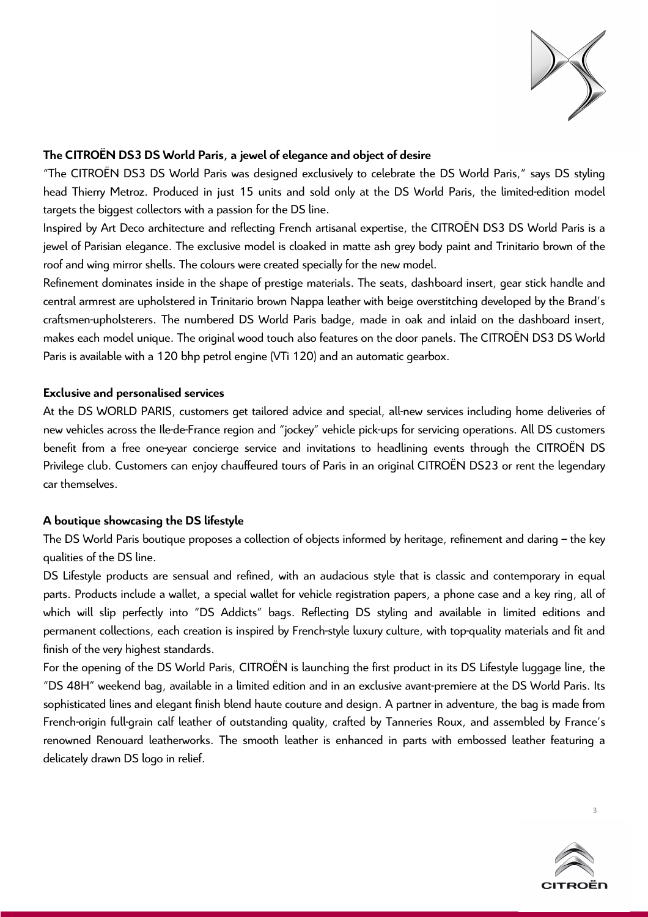

# **The CITROËN DS3 DS World Paris, a jewel of elegance and object of desire**

"The CITROËN DS3 DS World Paris was designed exclusively to celebrate the DS World Paris," says DS styling head Thierry Metroz. Produced in just 15 units and sold only at the DS World Paris, the limited-edition model targets the biggest collectors with a passion for the DS line.

Inspired by Art Deco architecture and reflecting French artisanal expertise, the CITROËN DS3 DS World Paris is a jewel of Parisian elegance. The exclusive model is cloaked in matte ash grey body paint and Trinitario brown of the roof and wing mirror shells. The colours were created specially for the new model.

Refinement dominates inside in the shape of prestige materials. The seats, dashboard insert, gear stick handle and central armrest are upholstered in Trinitario brown Nappa leather with beige overstitching developed by the Brand's craftsmen-upholsterers. The numbered DS World Paris badge, made in oak and inlaid on the dashboard insert, makes each model unique. The original wood touch also features on the door panels. The CITROËN DS3 DS World Paris is available with a 120 bhp petrol engine (VTi 120) and an automatic gearbox.

## **Exclusive and personalised services**

At the DS WORLD PARIS, customers get tailored advice and special, all-new services including home deliveries of new vehicles across the Ile-de-France region and "jockey" vehicle pick-ups for servicing operations. All DS customers benefit from a free one-year concierge service and invitations to headlining events through the CITROËN DS Privilege club. Customers can enjoy chauffeured tours of Paris in an original CITROËN DS23 or rent the legendary car themselves.

# **A boutique showcasing the DS lifestyle**

The DS World Paris boutique proposes a collection of objects informed by heritage, refinement and daring – the key qualities of the DS line.

DS Lifestyle products are sensual and refined, with an audacious style that is classic and contemporary in equal parts. Products include a wallet, a special wallet for vehicle registration papers, a phone case and a key ring, all of which will slip perfectly into "DS Addicts" bags. Reflecting DS styling and available in limited editions and permanent collections, each creation is inspired by French-style luxury culture, with top-quality materials and fit and finish of the very highest standards.

For the opening of the DS World Paris, CITROËN is launching the first product in its DS Lifestyle luggage line, the "DS 48H" weekend bag, available in a limited edition and in an exclusive avant-premiere at the DS World Paris. Its sophisticated lines and elegant finish blend haute couture and design. A partner in adventure, the bag is made from French-origin full-grain calf leather of outstanding quality, crafted by Tanneries Roux, and assembled by France's renowned Renouard leatherworks. The smooth leather is enhanced in parts with embossed leather featuring a delicately drawn DS logo in relief.

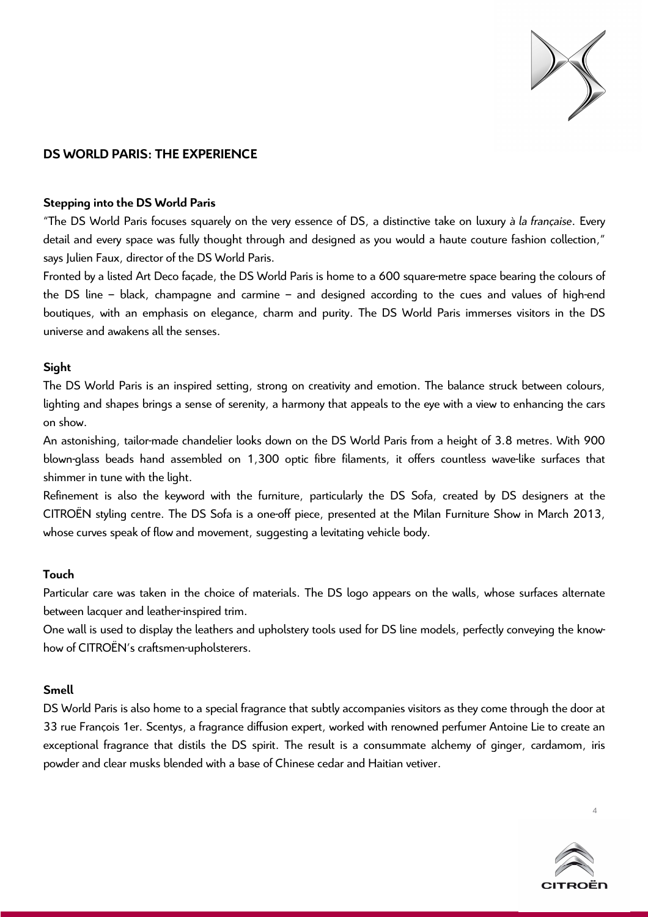

# **DS WORLD PARIS: THE EXPERIENCE**

#### **Stepping into the DS World Paris**

"The DS World Paris focuses squarely on the very essence of DS, a distinctive take on luxury *à la française*. Every detail and every space was fully thought through and designed as you would a haute couture fashion collection," says Julien Faux, director of the DS World Paris.

Fronted by a listed Art Deco façade, the DS World Paris is home to a 600 square-metre space bearing the colours of the DS line – black, champagne and carmine – and designed according to the cues and values of high-end boutiques, with an emphasis on elegance, charm and purity. The DS World Paris immerses visitors in the DS universe and awakens all the senses.

## **Sight**

The DS World Paris is an inspired setting, strong on creativity and emotion. The balance struck between colours, lighting and shapes brings a sense of serenity, a harmony that appeals to the eye with a view to enhancing the cars on show.

An astonishing, tailor-made chandelier looks down on the DS World Paris from a height of 3.8 metres. With 900 blown-glass beads hand assembled on 1,300 optic fibre filaments, it offers countless wave-like surfaces that shimmer in tune with the light.

Refinement is also the keyword with the furniture, particularly the DS Sofa, created by DS designers at the CITROËN styling centre. The DS Sofa is a one-off piece, presented at the Milan Furniture Show in March 2013, whose curves speak of flow and movement, suggesting a levitating vehicle body.

#### **Touch**

Particular care was taken in the choice of materials. The DS logo appears on the walls, whose surfaces alternate between lacquer and leather-inspired trim.

One wall is used to display the leathers and upholstery tools used for DS line models, perfectly conveying the knowhow of CITROËN's craftsmen-upholsterers.

#### **Smell**

DS World Paris is also home to a special fragrance that subtly accompanies visitors as they come through the door at 33 rue François 1er. Scentys, a fragrance diffusion expert, worked with renowned perfumer Antoine Lie to create an exceptional fragrance that distils the DS spirit. The result is a consummate alchemy of ginger, cardamom, iris powder and clear musks blended with a base of Chinese cedar and Haitian vetiver.